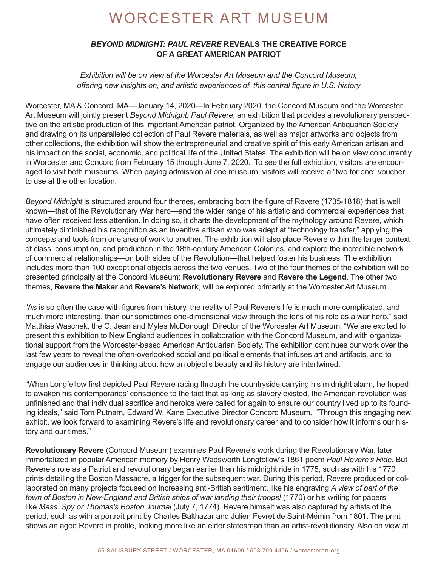# WORCESTER ART MUSEUM

## *BEYOND MIDNIGHT: PAUL REVERE* **REVEALS THE CREATIVE FORCE OF A GREAT AMERICAN PATRIOT**

*Exhibition will be on view at the Worcester Art Museum and the Concord Museum, offering new insights on, and artistic experiences of, this central figure in U.S. history*

Worcester, MA & Concord, MA—January 14, 2020—In February 2020, the Concord Museum and the Worcester Art Museum will jointly present *Beyond Midnight: Paul Revere*, an exhibition that provides a revolutionary perspective on the artistic production of this important American patriot. Organized by the American Antiquarian Society and drawing on its unparalleled collection of Paul Revere materials, as well as major artworks and objects from other collections, the exhibition will show the entrepreneurial and creative spirit of this early American artisan and his impact on the social, economic, and political life of the United States. The exhibition will be on view concurrently in Worcester and Concord from February 15 through June 7, 2020. To see the full exhibition, visitors are encouraged to visit both museums. When paying admission at one museum, visitors will receive a "two for one" voucher to use at the other location.

*Beyond Midnight* is structured around four themes, embracing both the figure of Revere (1735-1818) that is well known—that of the Revolutionary War hero—and the wider range of his artistic and commercial experiences that have often received less attention. In doing so, it charts the development of the mythology around Revere, which ultimately diminished his recognition as an inventive artisan who was adept at "technology transfer," applying the concepts and tools from one area of work to another. The exhibition will also place Revere within the larger context of class, consumption, and production in the 18th-century American Colonies, and explore the incredible network of commercial relationships—on both sides of the Revolution—that helped foster his business. The exhibition includes more than 100 exceptional objects across the two venues. Two of the four themes of the exhibition will be presented principally at the Concord Museum: **Revolutionary Revere** and **Revere the Legend**. The other two themes, **Revere the Maker** and **Revere's Network**, will be explored primarily at the Worcester Art Museum.

"As is so often the case with figures from history, the reality of Paul Revere's life is much more complicated, and much more interesting, than our sometimes one-dimensional view through the lens of his role as a war hero," said Matthias Waschek, the C. Jean and Myles McDonough Director of the Worcester Art Museum. "We are excited to present this exhibition to New England audiences in collaboration with the Concord Museum, and with organizational support from the Worcester-based American Antiquarian Society. The exhibition continues our work over the last few years to reveal the often-overlooked social and political elements that infuses art and artifacts, and to engage our audiences in thinking about how an object's beauty and its history are intertwined."

"When Longfellow first depicted Paul Revere racing through the countryside carrying his midnight alarm, he hoped to awaken his contemporaries' conscience to the fact that as long as slavery existed, the American revolution was unfinished and that individual sacrifice and heroics were called for again to ensure our country lived up to its founding ideals," said Tom Putnam, Edward W. Kane Executive Director Concord Museum. "Through this engaging new exhibit, we look forward to examining Revere's life and revolutionary career and to consider how it informs our history and our times."

**Revolutionary Revere** (Concord Museum) examines Paul Revere's work during the Revolutionary War, later immortalized in popular American memory by Henry Wadsworth Longfellow's 1861 poem *Paul Revere's Ride*. But Revere's role as a Patriot and revolutionary began earlier than his midnight ride in 1775, such as with his 1770 prints detailing the Boston Massacre, a trigger for the subsequent war. During this period, Revere produced or collaborated on many projects focused on increasing anti-British sentiment, like his engraving *A view of part of the town of Boston in New-England and British ships of war landing their troops!* (1770) or his writing for papers like *Mass. Spy or Thomas's Boston Journal* (July 7, 1774). Revere himself was also captured by artists of the period, such as with a portrait print by Charles Balthazar and Julien Fevret de Saint-Memin from 1801. The print shows an aged Revere in profile, looking more like an elder statesman than an artist-revolutionary. Also on view at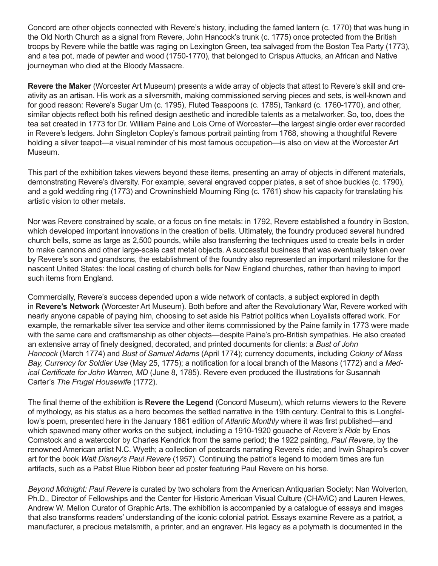Concord are other objects connected with Revere's history, including the famed lantern (c. 1770) that was hung in the Old North Church as a signal from Revere, John Hancock's trunk (c. 1775) once protected from the British troops by Revere while the battle was raging on Lexington Green, tea salvaged from the Boston Tea Party (1773), and a tea pot, made of pewter and wood (1750-1770), that belonged to Crispus Attucks, an African and Native journeyman who died at the Bloody Massacre.

**Revere the Maker** (Worcester Art Museum) presents a wide array of objects that attest to Revere's skill and creativity as an artisan. His work as a silversmith, making commissioned serving pieces and sets, is well-known and for good reason: Revere's Sugar Urn (c. 1795), Fluted Teaspoons (c. 1785), Tankard (c. 1760-1770), and other, similar objects reflect both his refined design aesthetic and incredible talents as a metalworker. So, too, does the tea set created in 1773 for Dr. William Paine and Lois Orne of Worcester—the largest single order ever recorded in Revere's ledgers. John Singleton Copley's famous portrait painting from 1768, showing a thoughtful Revere holding a silver teapot—a visual reminder of his most famous occupation—is also on view at the Worcester Art Museum.

This part of the exhibition takes viewers beyond these items, presenting an array of objects in different materials, demonstrating Revere's diversity. For example, several engraved copper plates, a set of shoe buckles (c. 1790), and a gold wedding ring (1773) and Crowninshield Mourning Ring (c. 1761) show his capacity for translating his artistic vision to other metals.

Nor was Revere constrained by scale, or a focus on fine metals: in 1792, Revere established a foundry in Boston, which developed important innovations in the creation of bells. Ultimately, the foundry produced several hundred church bells, some as large as 2,500 pounds, while also transferring the techniques used to create bells in order to make cannons and other large-scale cast metal objects. A successful business that was eventually taken over by Revere's son and grandsons, the establishment of the foundry also represented an important milestone for the nascent United States: the local casting of church bells for New England churches, rather than having to import such items from England.

Commercially, Revere's success depended upon a wide network of contacts, a subject explored in depth in **Revere's Network** (Worcester Art Museum). Both before and after the Revolutionary War, Revere worked with nearly anyone capable of paying him, choosing to set aside his Patriot politics when Loyalists offered work. For example, the remarkable silver tea service and other items commissioned by the Paine family in 1773 were made with the same care and craftsmanship as other objects—despite Paine's pro-British sympathies. He also created an extensive array of finely designed, decorated, and printed documents for clients: a *Bust of John Hancock* (March 1774) and *Bust of Samuel Adams* (April 1774); currency documents, including *Colony of Mass Bay, Currency for Soldier Use* (May 25, 1775); a notification for a local branch of the Masons (1772) and a *Medical Certificate for John Warren, MD* (June 8, 1785). Revere even produced the illustrations for Susannah Carter's *The Frugal Housewife* (1772).

The final theme of the exhibition is **Revere the Legend** (Concord Museum), which returns viewers to the Revere of mythology, as his status as a hero becomes the settled narrative in the 19th century. Central to this is Longfellow's poem, presented here in the January 1861 edition of *Atlantic Monthly* where it was first published—and which spawned many other works on the subject, including a 1910-1920 gouache of *Revere's Ride* by Enos Comstock and a watercolor by Charles Kendrick from the same period; the 1922 painting, *Paul Revere*, by the renowned American artist N.C. Wyeth; a collection of postcards narrating Revere's ride; and Irwin Shapiro's cover art for the book *Walt Disney's Paul Revere* (1957). Continuing the patriot's legend to modern times are fun artifacts, such as a Pabst Blue Ribbon beer ad poster featuring Paul Revere on his horse.

*Beyond Midnight: Paul Revere* is curated by two scholars from the American Antiquarian Society: Nan Wolverton, Ph.D., Director of Fellowships and the Center for Historic American Visual Culture (CHAViC) and Lauren Hewes, Andrew W. Mellon Curator of Graphic Arts. The exhibition is accompanied by a catalogue of essays and images that also transforms readers' understanding of the iconic colonial patriot. Essays examine Revere as a patriot, a manufacturer, a precious metalsmith, a printer, and an engraver. His legacy as a polymath is documented in the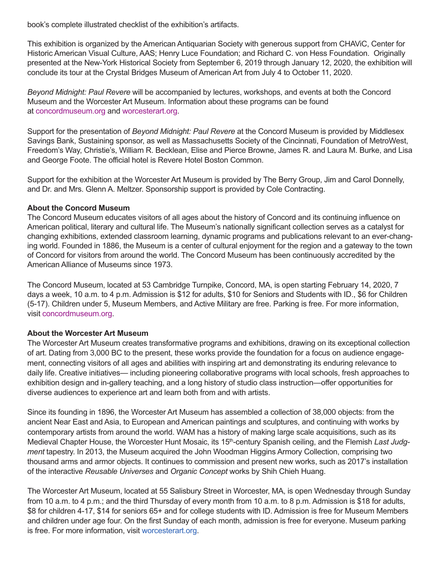book's complete illustrated checklist of the exhibition's artifacts.

This exhibition is organized by the American Antiquarian Society with generous support from CHAViC, Center for Historic American Visual Culture, AAS; Henry Luce Foundation; and Richard C. von Hess Foundation. Originally presented at the New-york Historical Society from September 6, 2019 through January 12, 2020, the exhibition will conclude its tour at the Crystal Bridges Museum of American Art from July 4 to October 11, 2020.

*Beyond Midnight: Paul Revere* will be accompanied by lectures, workshops, and events at both the Concord Museum and the Worcester Art Museum. Information about these programs can be found at [concordmuseum.org](https://concordmuseum.org/events/revere-show/) and [worcesterart.org.](https://worcesterart.org/exhibitions/paul-revere/)

Support for the presentation of *Beyond Midnight: Paul Revere* at the Concord Museum is provided by Middlesex Savings Bank, Sustaining sponsor, as well as Massachusetts Society of the Cincinnati, Foundation of MetroWest, Freedom's Way, Christie's, William R. Becklean, Elise and Pierce Browne, James R. and Laura M. Burke, and Lisa and George Foote. The official hotel is Revere Hotel Boston Common.

Support for the exhibition at the Worcester Art Museum is provided by The Berry Group, Jim and Carol Donnelly, and Dr. and Mrs. Glenn A. Meltzer. Sponsorship support is provided by Cole Contracting.

#### **About the Concord Museum**

The Concord Museum educates visitors of all ages about the history of Concord and its continuing influence on American political, literary and cultural life. The Museum's nationally significant collection serves as a catalyst for changing exhibitions, extended classroom learning, dynamic programs and publications relevant to an ever-changing world. Founded in 1886, the Museum is a center of cultural enjoyment for the region and a gateway to the town of Concord for visitors from around the world. The Concord Museum has been continuously accredited by the American Alliance of Museums since 1973.

The Concord Museum, located at 53 Cambridge Turnpike, Concord, MA, is open starting February 14, 2020, 7 days a week, 10 a.m. to 4 p.m. Admission is \$12 for adults, \$10 for Seniors and Students with ID., \$6 for Children (5-17). Children under 5, Museum Members, and Active Military are free. Parking is free. For more information, visit [concordmuseum.org.](https://concordmuseum.org/)

#### **About the Worcester Art Museum**

The Worcester Art Museum creates transformative programs and exhibitions, drawing on its exceptional collection of art. Dating from 3,000 BC to the present, these works provide the foundation for a focus on audience engagement, connecting visitors of all ages and abilities with inspiring art and demonstrating its enduring relevance to daily life. Creative initiatives— including pioneering collaborative programs with local schools, fresh approaches to exhibition design and in-gallery teaching, and a long history of studio class instruction—offer opportunities for diverse audiences to experience art and learn both from and with artists.

Since its founding in 1896, the Worcester Art Museum has assembled a collection of 38,000 objects: from the ancient Near East and Asia, to European and American paintings and sculptures, and continuing with works by contemporary artists from around the world. WAM has a history of making large scale acquisitions, such as its Medieval Chapter House, the Worcester Hunt Mosaic, its 15<sup>th</sup>-century Spanish ceiling, and the Flemish *Last Judgment* tapestry. In 2013, the Museum acquired the John Woodman Higgins Armory Collection, comprising two thousand arms and armor objects. It continues to commission and present new works, such as 2017's installation of the interactive *Reusable Universes* and *Organic Concept* works by Shih Chieh Huang.

The Worcester Art Museum, located at 55 Salisbury Street in Worcester, MA, is open Wednesday through Sunday from 10 a.m. to 4 p.m.; and the third Thursday of every month from 10 a.m. to 8 p.m. Admission is \$18 for adults, \$8 for children 4-17, \$14 for seniors 65+ and for college students with ID. Admission is free for Museum Members and children under age four. On the first Sunday of each month, admission is free for everyone. Museum parking is free. For more information, visit [worcesterart.org.](https://www.worcesterart.org/)